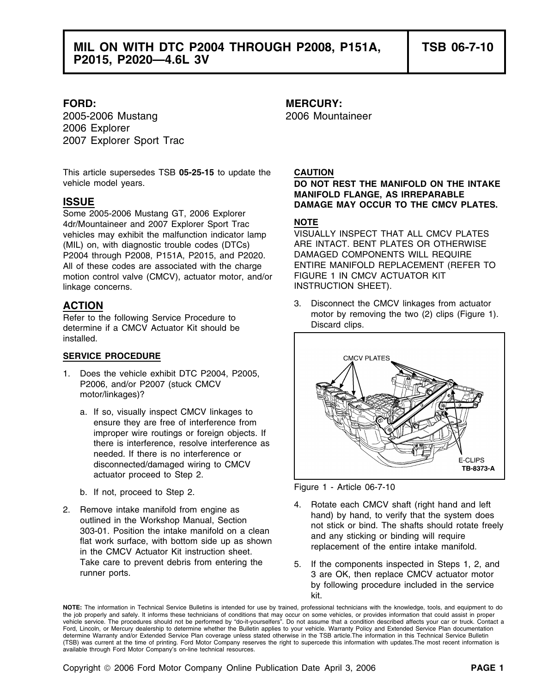2005-2006 Mustang 2006 Mountaineer 2006 Explorer 2007 Explorer Sport Trac

This article supersedes TSB **05-25-15** to update the **CAUTION** vehicle model years. **DO NOT REST THE MANIFOLD ON THE INTAKE**

Some 2005-2006 Mustang GT, 2006 Explorer 4dr/Mountaineer and 2007 Explorer Sport Trac **NOTE** vehicles may exhibit the malfunction indicator lamp VISUALLY INSPECT THAT ALL CMCV PLATES<br>(MIL) on with diagnostic trouble codes (DTCs) ARE INTACT. BENT PLATES OR OTHERWISE (MIL) on, with diagnostic trouble codes (DTCs) ARE INTACT. BENT PLATES OR OTHERW<br>P2004 through P2008, P151A, P2015, and P2020. DAMAGED COMPONENTS WILL REQUIRE P2004 through P2008, P151A, P2015, and P2020. All of these codes are associated with the charge ENTIRE MANIFOLD REPLACEMENT (REFER TO<br>motion control valve (CMCV), actuator motor, and/or FIGURE 1 IN CMCV ACTUATOR KIT motion control valve (CMCV), actuator motor, and/or linkage concerns. The example of the state of the INSTRUCTION SHEET).

motor by remove (Refer to the following Service Procedure to determine if a CMCV Actuator Kit should be determine if a CMCV Actuator Kit should be installed.

## **SERVICE PROCEDURE**

- 1. Does the vehicle exhibit DTC P2004, P2005, P2006, and/or P2007 (stuck CMCV motor/linkages)?
	- a. If so, visually inspect CMCV linkages to ensure they are free of interference from improper wire routings or foreign objects. If there is interference, resolve interference as needed. If there is no interference or disconnected/damaged wiring to CMCV actuator proceed to Step 2.
	- Figure 1 Article 06-7-10 b. If not, proceed to Step 2.
- 2. Remove intake manifold from engine as<br>
outlined in the Workshop Manual, Section<br>
303-01. Position the intake manifold on a clean<br>
flat work surface, with bottom side up as shown<br>
in the CMCV Actuator Kit instruction she

# **FORD: MERCURY:**

**MANIFOLD FLANGE, AS IRREPARABLE ISSUE DAMAGE MAY OCCUR TO THE CMCV PLATES.**

**ACTION** 3. Disconnect the CMCV linkages from actuator<br> **ACTION** 3. Disconnect the CMCV linkages from actuator<br> **Pofor to the following Service Presedure to** motor by removing the two (2) clips (Figure 1).



- 
- Take care to prevent debris from entering the 5. If the components inspected in Steps 1, 2, and<br>
3 are OK then replace CMCV actuator motor 3 are OK, then replace CMCV actuator motor by following procedure included in the service kit.

**NOTE:** The information in Technical Service Bulletins is intended for use by trained, professional technicians with the knowledge, tools, and equipment to do the job properly and safely. It informs these technicians of conditions that may occur on some vehicles, or provides information that could assist in proper<br>vehicle service. The procedures should not be performed by "do-it Ford, Lincoln, or Mercury dealership to determine whether the Bulletin applies to your vehicle. Warranty Policy and Extended Service Plan documentation determine Warranty and/or Extended Service Plan coverage unless stated otherwise in the TSB article.The information in this Technical Service Bulletin (TSB) was current at the time of printing. Ford Motor Company reserves the right to supercede this information with updates.The most recent information is available through Ford Motor Company's on-line technical resources.